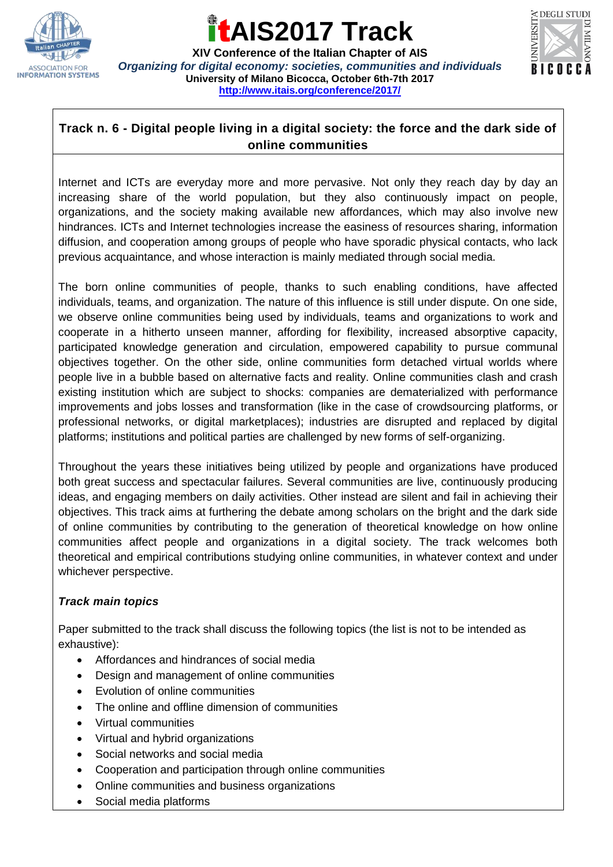

### **AIS2017 Track**

**XIV Conference of the Italian Chapter of AIS** *Organizing for digital economy: societies, communities and individuals* **University of Milano Bicocca, October 6th-7th 2017 <http://www.itais.org/conference/2017/>**



### **Track n. 6 - Digital people living in a digital society: the force and the dark side of online communities**

Internet and ICTs are everyday more and more pervasive. Not only they reach day by day an increasing share of the world population, but they also continuously impact on people, organizations, and the society making available new affordances, which may also involve new hindrances. ICTs and Internet technologies increase the easiness of resources sharing, information diffusion, and cooperation among groups of people who have sporadic physical contacts, who lack previous acquaintance, and whose interaction is mainly mediated through social media.

The born online communities of people, thanks to such enabling conditions, have affected individuals, teams, and organization. The nature of this influence is still under dispute. On one side, we observe online communities being used by individuals, teams and organizations to work and cooperate in a hitherto unseen manner, affording for flexibility, increased absorptive capacity, participated knowledge generation and circulation, empowered capability to pursue communal objectives together. On the other side, online communities form detached virtual worlds where people live in a bubble based on alternative facts and reality. Online communities clash and crash existing institution which are subject to shocks: companies are dematerialized with performance improvements and jobs losses and transformation (like in the case of crowdsourcing platforms, or professional networks, or digital marketplaces); industries are disrupted and replaced by digital platforms; institutions and political parties are challenged by new forms of self-organizing.

Throughout the years these initiatives being utilized by people and organizations have produced both great success and spectacular failures. Several communities are live, continuously producing ideas, and engaging members on daily activities. Other instead are silent and fail in achieving their objectives. This track aims at furthering the debate among scholars on the bright and the dark side of online communities by contributing to the generation of theoretical knowledge on how online communities affect people and organizations in a digital society. The track welcomes both theoretical and empirical contributions studying online communities, in whatever context and under whichever perspective.

#### *Track main topics*

Paper submitted to the track shall discuss the following topics (the list is not to be intended as exhaustive):

- Affordances and hindrances of social media
- Design and management of online communities
- Evolution of online communities
- The online and offline dimension of communities
- Virtual communities
- Virtual and hybrid organizations
- Social networks and social media
- Cooperation and participation through online communities
- Online communities and business organizations
- Social media platforms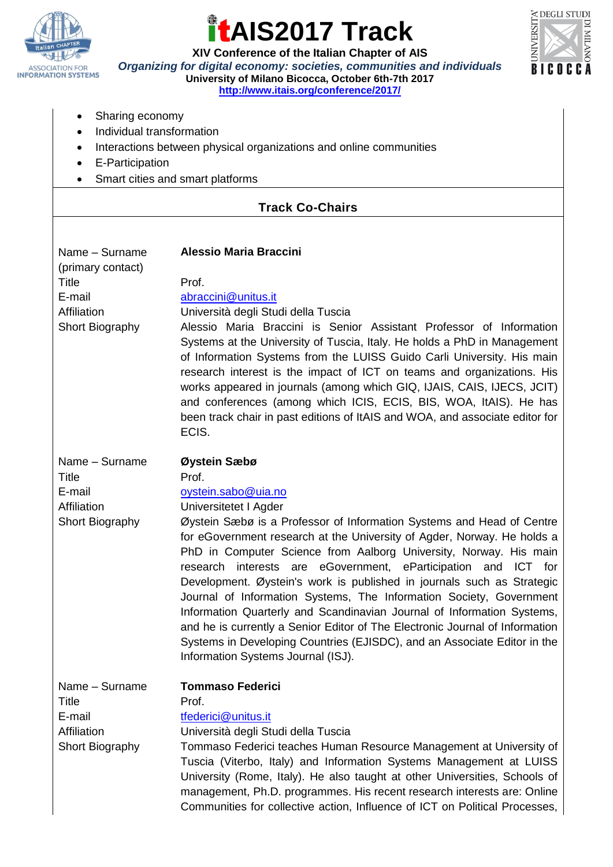

# **AIS2017 Track**



**XIV Conference of the Italian Chapter of AIS** *Organizing for digital economy: societies, communities and individuals* **University of Milano Bicocca, October 6th-7th 2017**

**<http://www.itais.org/conference/2017/>**

- Sharing economy
- Individual transformation
- Interactions between physical organizations and online communities
- E-Participation
- Smart cities and smart platforms

#### **Track Co-Chairs**

| Name - Surname<br>(primary contact)<br>Title<br>E-mail<br>Affiliation<br>Short Biography | <b>Alessio Maria Braccini</b><br>Prof.<br>abraccini@unitus.it<br>Università degli Studi della Tuscia<br>Alessio Maria Braccini is Senior Assistant Professor of Information<br>Systems at the University of Tuscia, Italy. He holds a PhD in Management<br>of Information Systems from the LUISS Guido Carli University. His main<br>research interest is the impact of ICT on teams and organizations. His<br>works appeared in journals (among which GIQ, IJAIS, CAIS, IJECS, JCIT)<br>and conferences (among which ICIS, ECIS, BIS, WOA, ItAIS). He has<br>been track chair in past editions of ItAIS and WOA, and associate editor for<br>ECIS.                                                                                                                                              |
|------------------------------------------------------------------------------------------|--------------------------------------------------------------------------------------------------------------------------------------------------------------------------------------------------------------------------------------------------------------------------------------------------------------------------------------------------------------------------------------------------------------------------------------------------------------------------------------------------------------------------------------------------------------------------------------------------------------------------------------------------------------------------------------------------------------------------------------------------------------------------------------------------|
| Name - Surname<br><b>Title</b><br>E-mail<br>Affiliation<br>Short Biography               | Øystein Sæbø<br>Prof.<br>oystein.sabo@uia.no<br>Universitetet I Agder<br>Øystein Sæbø is a Professor of Information Systems and Head of Centre<br>for eGovernment research at the University of Agder, Norway. He holds a<br>PhD in Computer Science from Aalborg University, Norway. His main<br>interests are eGovernment, eParticipation and ICT for<br>research<br>Development. Øystein's work is published in journals such as Strategic<br>Journal of Information Systems, The Information Society, Government<br>Information Quarterly and Scandinavian Journal of Information Systems,<br>and he is currently a Senior Editor of The Electronic Journal of Information<br>Systems in Developing Countries (EJISDC), and an Associate Editor in the<br>Information Systems Journal (ISJ). |
| Name - Surname<br>Title<br>E-mail<br>Affiliation<br>Short Biography                      | <b>Tommaso Federici</b><br>Prof.<br>tfederici@unitus.it<br>Università degli Studi della Tuscia<br>Tommaso Federici teaches Human Resource Management at University of<br>Tuscia (Viterbo, Italy) and Information Systems Management at LUISS<br>University (Rome, Italy). He also taught at other Universities, Schools of<br>management, Ph.D. programmes. His recent research interests are: Online<br>Communities for collective action, Influence of ICT on Political Processes,                                                                                                                                                                                                                                                                                                             |